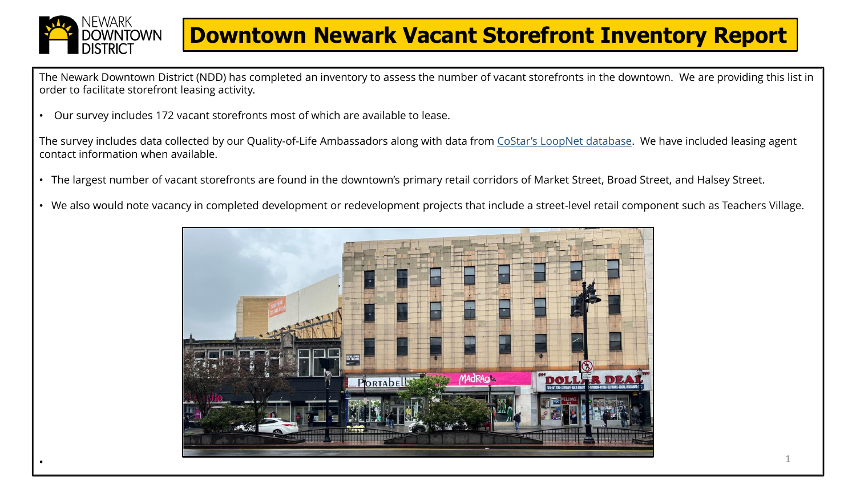

•

## **Downtown Newark Vacant Storefront Inventory Report**

The Newark Downtown District (NDD) has completed an inventory to assess the number of vacant storefronts in the downtown. We are providing this list in order to facilitate storefront leasing activity.

• Our survey includes 172 vacant storefronts most of which are available to lease.

The survey includes data collected by our Quality-of-Life Ambassadors along with data from [CoStar's LoopNet database](https://www.loopnet.com/). We have included leasing agent contact information when available.

- The largest number of vacant storefronts are found in the downtown's primary retail corridors of Market Street, Broad Street, and Halsey Street.
- We also would note vacancy in completed development or redevelopment projects that include a street-level retail component such as Teachers Village.

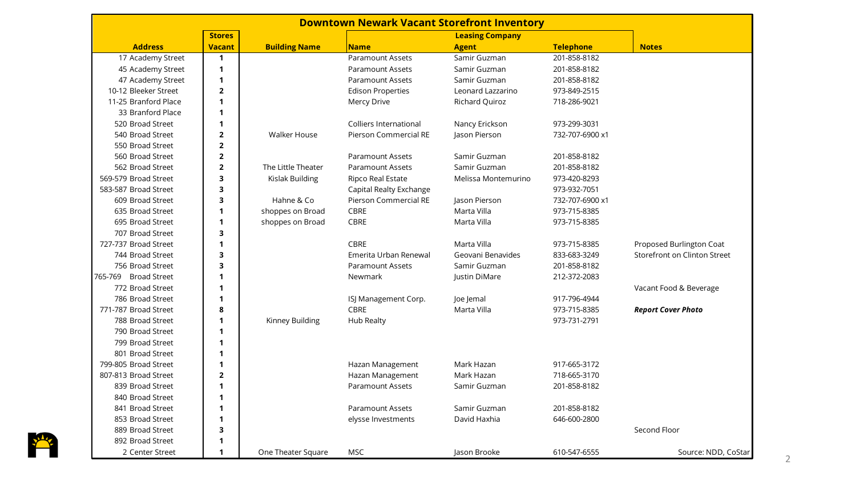| <b>Downtown Newark Vacant Storefront Inventory</b> |                |                      |                          |                        |                  |                              |  |
|----------------------------------------------------|----------------|----------------------|--------------------------|------------------------|------------------|------------------------------|--|
|                                                    | <b>Stores</b>  |                      |                          | <b>Leasing Company</b> |                  |                              |  |
| <b>Address</b>                                     | <b>Vacant</b>  | <b>Building Name</b> | <b>Name</b>              | <b>Agent</b>           | <b>Telephone</b> | <b>Notes</b>                 |  |
| 17 Academy Street                                  | $\mathbf{1}$   |                      | <b>Paramount Assets</b>  | Samir Guzman           | 201-858-8182     |                              |  |
| 45 Academy Street                                  | 1              |                      | <b>Paramount Assets</b>  | Samir Guzman           | 201-858-8182     |                              |  |
| 47 Academy Street                                  | 1              |                      | <b>Paramount Assets</b>  | Samir Guzman           | 201-858-8182     |                              |  |
| 10-12 Bleeker Street                               | $\overline{2}$ |                      | <b>Edison Properties</b> | Leonard Lazzarino      | 973-849-2515     |                              |  |
| 11-25 Branford Place                               | 1              |                      | Mercy Drive              | Richard Quiroz         | 718-286-9021     |                              |  |
| 33 Branford Place                                  | 1              |                      |                          |                        |                  |                              |  |
| 520 Broad Street                                   | 1              |                      | Colliers International   | Nancy Erickson         | 973-299-3031     |                              |  |
| 540 Broad Street                                   | $\overline{2}$ | <b>Walker House</b>  | Pierson Commercial RE    | Jason Pierson          | 732-707-6900 x1  |                              |  |
| 550 Broad Street                                   | $\mathbf{2}$   |                      |                          |                        |                  |                              |  |
| 560 Broad Street                                   | $\mathbf{2}$   |                      | <b>Paramount Assets</b>  | Samir Guzman           | 201-858-8182     |                              |  |
| 562 Broad Street                                   | $\mathbf{2}$   | The Little Theater   | <b>Paramount Assets</b>  | Samir Guzman           | 201-858-8182     |                              |  |
| 569-579 Broad Street                               | 3              | Kislak Building      | Ripco Real Estate        | Melissa Montemurino    | 973-420-8293     |                              |  |
| 583-587 Broad Street                               | 3              |                      | Capital Realty Exchange  |                        | 973-932-7051     |                              |  |
| 609 Broad Street                                   | 3              | Hahne & Co           | Pierson Commercial RE    | Jason Pierson          | 732-707-6900 x1  |                              |  |
| 635 Broad Street                                   | 1              | shoppes on Broad     | <b>CBRE</b>              | Marta Villa            | 973-715-8385     |                              |  |
| 695 Broad Street                                   | 1              | shoppes on Broad     | CBRE                     | Marta Villa            | 973-715-8385     |                              |  |
| 707 Broad Street                                   | 3              |                      |                          |                        |                  |                              |  |
| 727-737 Broad Street                               | 1              |                      | CBRE                     | Marta Villa            | 973-715-8385     | Proposed Burlington Coat     |  |
| 744 Broad Street                                   | 3              |                      | Emerita Urban Renewal    | Geovani Benavides      | 833-683-3249     | Storefront on Clinton Street |  |
| 756 Broad Street                                   | 3              |                      | <b>Paramount Assets</b>  | Samir Guzman           | 201-858-8182     |                              |  |
| <b>Broad Street</b><br>765-769                     | 1              |                      | Newmark                  | Justin DiMare          | 212-372-2083     |                              |  |
| 772 Broad Street                                   | 1              |                      |                          |                        |                  | Vacant Food & Beverage       |  |
| 786 Broad Street                                   | 1              |                      | ISJ Management Corp.     | Joe Jemal              | 917-796-4944     |                              |  |
| 771-787 Broad Street                               | 8              |                      | <b>CBRE</b>              | Marta Villa            | 973-715-8385     | <b>Report Cover Photo</b>    |  |
| 788 Broad Street                                   | 1              | Kinney Building      | <b>Hub Realty</b>        |                        | 973-731-2791     |                              |  |
| 790 Broad Street                                   | 1              |                      |                          |                        |                  |                              |  |
| 799 Broad Street                                   | 1              |                      |                          |                        |                  |                              |  |
| 801 Broad Street                                   | 1              |                      |                          |                        |                  |                              |  |
| 799-805 Broad Street                               | 1              |                      | Hazan Management         | Mark Hazan             | 917-665-3172     |                              |  |
| 807-813 Broad Street                               | $\overline{2}$ |                      | Hazan Management         | Mark Hazan             | 718-665-3170     |                              |  |
| 839 Broad Street                                   | 1              |                      | <b>Paramount Assets</b>  | Samir Guzman           | 201-858-8182     |                              |  |
| 840 Broad Street                                   | 1              |                      |                          |                        |                  |                              |  |
| 841 Broad Street                                   | 1              |                      | <b>Paramount Assets</b>  | Samir Guzman           | 201-858-8182     |                              |  |
| 853 Broad Street                                   | 1              |                      | elysse Investments       | David Haxhia           | 646-600-2800     |                              |  |
| 889 Broad Street                                   | 3              |                      |                          |                        |                  | Second Floor                 |  |
| 892 Broad Street                                   | 1              |                      |                          |                        |                  |                              |  |
| 2 Center Street                                    | 1              | One Theater Square   | <b>MSC</b>               | Jason Brooke           | 610-547-6555     | Source: NDD, CoStar          |  |

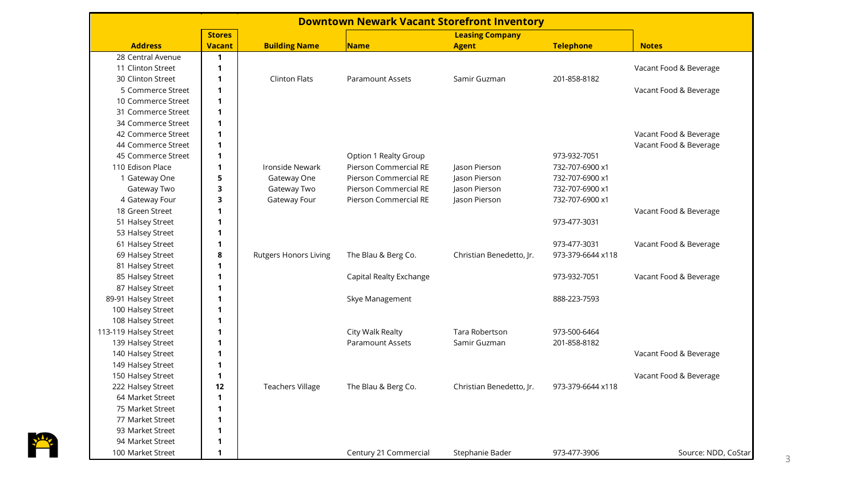| <b>Downtown Newark Vacant Storefront Inventory</b> |               |                              |                              |                          |                   |                        |  |
|----------------------------------------------------|---------------|------------------------------|------------------------------|--------------------------|-------------------|------------------------|--|
|                                                    | <b>Stores</b> |                              |                              | <b>Leasing Company</b>   |                   |                        |  |
| <b>Address</b>                                     | <b>Vacant</b> | <b>Building Name</b>         | <b>Name</b>                  | <b>Agent</b>             | <b>Telephone</b>  | <b>Notes</b>           |  |
| 28 Central Avenue                                  | $\mathbf{1}$  |                              |                              |                          |                   |                        |  |
| 11 Clinton Street                                  | $\mathbf 1$   |                              |                              |                          |                   | Vacant Food & Beverage |  |
| 30 Clinton Street                                  | 1             | <b>Clinton Flats</b>         | <b>Paramount Assets</b>      | Samir Guzman             | 201-858-8182      |                        |  |
| 5 Commerce Street                                  | $\mathbf{1}$  |                              |                              |                          |                   | Vacant Food & Beverage |  |
| 10 Commerce Street                                 | $\mathbf{1}$  |                              |                              |                          |                   |                        |  |
| 31 Commerce Street                                 | $\mathbf{1}$  |                              |                              |                          |                   |                        |  |
| 34 Commerce Street                                 | $\mathbf{1}$  |                              |                              |                          |                   |                        |  |
| 42 Commerce Street                                 | $\mathbf{1}$  |                              |                              |                          |                   | Vacant Food & Beverage |  |
| 44 Commerce Street                                 | 1             |                              |                              |                          |                   | Vacant Food & Beverage |  |
| 45 Commerce Street                                 | 1             |                              | Option 1 Realty Group        |                          | 973-932-7051      |                        |  |
| 110 Edison Place                                   | 1             | Ironside Newark              | <b>Pierson Commercial RE</b> | Jason Pierson            | 732-707-6900 x1   |                        |  |
| 1 Gateway One                                      | 5             | Gateway One                  | Pierson Commercial RE        | Jason Pierson            | 732-707-6900 x1   |                        |  |
| Gateway Two                                        | 3             | Gateway Two                  | Pierson Commercial RE        | Jason Pierson            | 732-707-6900 x1   |                        |  |
| 4 Gateway Four                                     | 3             | Gateway Four                 | Pierson Commercial RE        | Jason Pierson            | 732-707-6900 x1   |                        |  |
| 18 Green Street                                    | 1             |                              |                              |                          |                   | Vacant Food & Beverage |  |
| 51 Halsey Street                                   | 1             |                              |                              |                          | 973-477-3031      |                        |  |
| 53 Halsey Street                                   | 1             |                              |                              |                          |                   |                        |  |
| 61 Halsey Street                                   | 1             |                              |                              |                          | 973-477-3031      | Vacant Food & Beverage |  |
| 69 Halsey Street                                   | 8             | <b>Rutgers Honors Living</b> | The Blau & Berg Co.          | Christian Benedetto, Jr. | 973-379-6644 x118 |                        |  |
| 81 Halsey Street                                   | 1             |                              |                              |                          |                   |                        |  |
| 85 Halsey Street                                   | 1             |                              | Capital Realty Exchange      |                          | 973-932-7051      | Vacant Food & Beverage |  |
| 87 Halsey Street                                   | 1             |                              |                              |                          |                   |                        |  |
| 89-91 Halsey Street                                | 1             |                              | Skye Management              |                          | 888-223-7593      |                        |  |
| 100 Halsey Street                                  | 1             |                              |                              |                          |                   |                        |  |
| 108 Halsey Street                                  | $\mathbf 1$   |                              |                              |                          |                   |                        |  |
| 113-119 Halsey Street                              | 1             |                              | City Walk Realty             | <b>Tara Robertson</b>    | 973-500-6464      |                        |  |
| 139 Halsey Street                                  | 1             |                              | <b>Paramount Assets</b>      | Samir Guzman             | 201-858-8182      |                        |  |
| 140 Halsey Street                                  | $\mathbf 1$   |                              |                              |                          |                   | Vacant Food & Beverage |  |
| 149 Halsey Street                                  | 1             |                              |                              |                          |                   |                        |  |
| 150 Halsey Street                                  | $\mathbf{1}$  |                              |                              |                          |                   | Vacant Food & Beverage |  |
| 222 Halsey Street                                  | 12            | <b>Teachers Village</b>      | The Blau & Berg Co.          | Christian Benedetto, Jr. | 973-379-6644 x118 |                        |  |
| 64 Market Street                                   | 1             |                              |                              |                          |                   |                        |  |
| 75 Market Street                                   | $\mathbf{1}$  |                              |                              |                          |                   |                        |  |
| 77 Market Street                                   | 1             |                              |                              |                          |                   |                        |  |
| 93 Market Street                                   | 1             |                              |                              |                          |                   |                        |  |
| 94 Market Street                                   | 1             |                              |                              |                          |                   |                        |  |
| 100 Market Street                                  | 1             |                              | Century 21 Commercial        | Stephanie Bader          | 973-477-3906      | Source: NDD, CoStar    |  |

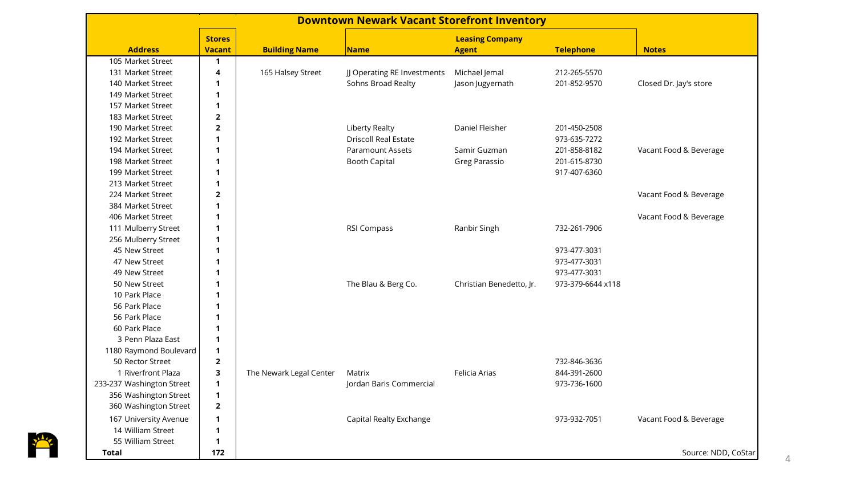| <b>Downtown Newark Vacant Storefront Inventory</b> |                |                         |                             |                          |                   |                        |
|----------------------------------------------------|----------------|-------------------------|-----------------------------|--------------------------|-------------------|------------------------|
|                                                    | <b>Stores</b>  |                         |                             | <b>Leasing Company</b>   |                   |                        |
| <b>Address</b>                                     | <b>Vacant</b>  | <b>Building Name</b>    | Name                        | <b>Agent</b>             | <b>Telephone</b>  | <b>Notes</b>           |
| 105 Market Street                                  | 1              |                         |                             |                          |                   |                        |
| 131 Market Street                                  | 4              | 165 Halsey Street       | JJ Operating RE Investments | Michael Jemal            | 212-265-5570      |                        |
| 140 Market Street                                  | 1              |                         | Sohns Broad Realty          | Jason Jugyernath         | 201-852-9570      | Closed Dr. Jay's store |
| 149 Market Street                                  | $\mathbf{1}$   |                         |                             |                          |                   |                        |
| 157 Market Street                                  | 1              |                         |                             |                          |                   |                        |
| 183 Market Street                                  | $\overline{2}$ |                         |                             |                          |                   |                        |
| 190 Market Street                                  | $\overline{2}$ |                         | <b>Liberty Realty</b>       | Daniel Fleisher          | 201-450-2508      |                        |
| 192 Market Street                                  | $\mathbf{1}$   |                         | <b>Driscoll Real Estate</b> |                          | 973-635-7272      |                        |
| 194 Market Street                                  |                |                         | <b>Paramount Assets</b>     | Samir Guzman             | 201-858-8182      | Vacant Food & Beverage |
| 198 Market Street                                  | 1              |                         | <b>Booth Capital</b>        | Greg Parassio            | 201-615-8730      |                        |
| 199 Market Street                                  | 1              |                         |                             |                          | 917-407-6360      |                        |
| 213 Market Street                                  | $\mathbf{1}$   |                         |                             |                          |                   |                        |
| 224 Market Street                                  | $\overline{2}$ |                         |                             |                          |                   | Vacant Food & Beverage |
| 384 Market Street                                  | $\mathbf{1}$   |                         |                             |                          |                   |                        |
| 406 Market Street                                  | 1              |                         |                             |                          |                   | Vacant Food & Beverage |
| 111 Mulberry Street                                | 1              |                         | RSI Compass                 | Ranbir Singh             | 732-261-7906      |                        |
| 256 Mulberry Street                                | 1              |                         |                             |                          |                   |                        |
| 45 New Street                                      | 1              |                         |                             |                          | 973-477-3031      |                        |
| 47 New Street                                      | 1              |                         |                             |                          | 973-477-3031      |                        |
| 49 New Street                                      | 1              |                         |                             |                          | 973-477-3031      |                        |
| 50 New Street                                      | 1              |                         | The Blau & Berg Co.         | Christian Benedetto, Jr. | 973-379-6644 x118 |                        |
| 10 Park Place                                      | 1              |                         |                             |                          |                   |                        |
| 56 Park Place                                      | 1              |                         |                             |                          |                   |                        |
| 56 Park Place                                      | $\mathbf{1}$   |                         |                             |                          |                   |                        |
| 60 Park Place                                      | 1              |                         |                             |                          |                   |                        |
| 3 Penn Plaza East                                  | 1              |                         |                             |                          |                   |                        |
| 1180 Raymond Boulevard                             | 1              |                         |                             |                          |                   |                        |
| 50 Rector Street                                   | $\overline{2}$ |                         |                             |                          | 732-846-3636      |                        |
| 1 Riverfront Plaza                                 | 3              | The Newark Legal Center | Matrix                      | Felicia Arias            | 844-391-2600      |                        |
| 233-237 Washington Street                          | $\mathbf{1}$   |                         | Jordan Baris Commercial     |                          | 973-736-1600      |                        |
| 356 Washington Street                              | 1              |                         |                             |                          |                   |                        |
| 360 Washington Street                              | $\overline{2}$ |                         |                             |                          |                   |                        |
| 167 University Avenue                              | 1              |                         | Capital Realty Exchange     |                          | 973-932-7051      | Vacant Food & Beverage |
| 14 William Street                                  | 1              |                         |                             |                          |                   |                        |
| 55 William Street                                  | 1              |                         |                             |                          |                   |                        |
| <b>Total</b>                                       | 172            |                         |                             |                          |                   | Source: NDD, CoStar    |